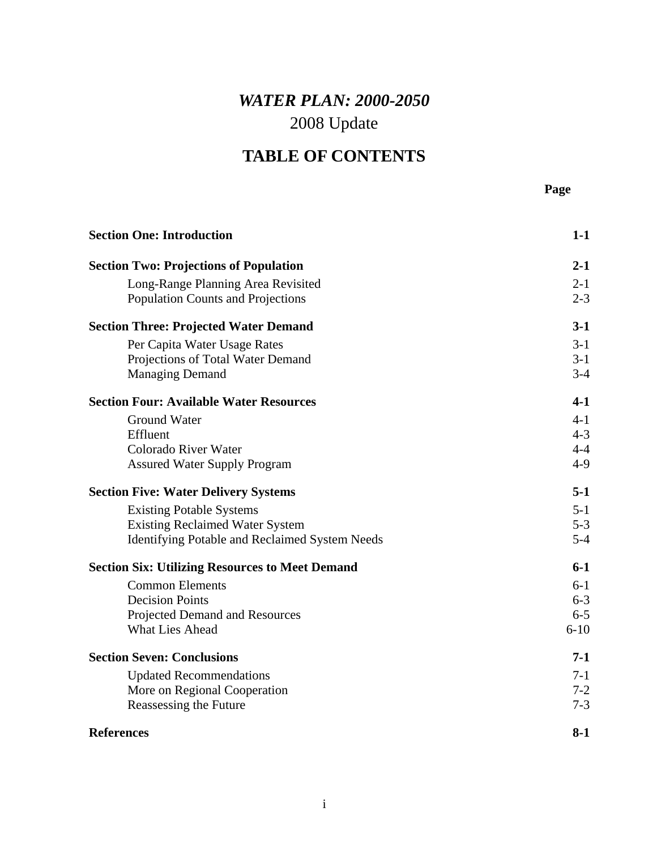## *WATER PLAN: 2000-2050*  2008 Update

## **TABLE OF CONTENTS**

| <b>Section One: Introduction</b>                       | $1-1$    |
|--------------------------------------------------------|----------|
| <b>Section Two: Projections of Population</b>          | $2 - 1$  |
| Long-Range Planning Area Revisited                     | $2 - 1$  |
| Population Counts and Projections                      | $2 - 3$  |
| <b>Section Three: Projected Water Demand</b>           | $3-1$    |
| Per Capita Water Usage Rates                           | $3-1$    |
| Projections of Total Water Demand                      | $3-1$    |
| <b>Managing Demand</b>                                 | $3-4$    |
| <b>Section Four: Available Water Resources</b>         | $4-1$    |
| <b>Ground Water</b>                                    | $4 - 1$  |
| Effluent                                               | $4 - 3$  |
| Colorado River Water                                   | $4 - 4$  |
| <b>Assured Water Supply Program</b>                    | $4-9$    |
| <b>Section Five: Water Delivery Systems</b>            | $5-1$    |
| <b>Existing Potable Systems</b>                        | $5 - 1$  |
| <b>Existing Reclaimed Water System</b>                 | $5 - 3$  |
| <b>Identifying Potable and Reclaimed System Needs</b>  | $5 - 4$  |
| <b>Section Six: Utilizing Resources to Meet Demand</b> | $6-1$    |
| <b>Common Elements</b>                                 | $6 - 1$  |
| <b>Decision Points</b>                                 | $6 - 3$  |
| Projected Demand and Resources                         | $6 - 5$  |
| <b>What Lies Ahead</b>                                 | $6 - 10$ |
| <b>Section Seven: Conclusions</b>                      | $7-1$    |
| <b>Updated Recommendations</b>                         | $7-1$    |
| More on Regional Cooperation                           | $7 - 2$  |
| Reassessing the Future                                 | $7 - 3$  |
| <b>References</b>                                      | $8-1$    |